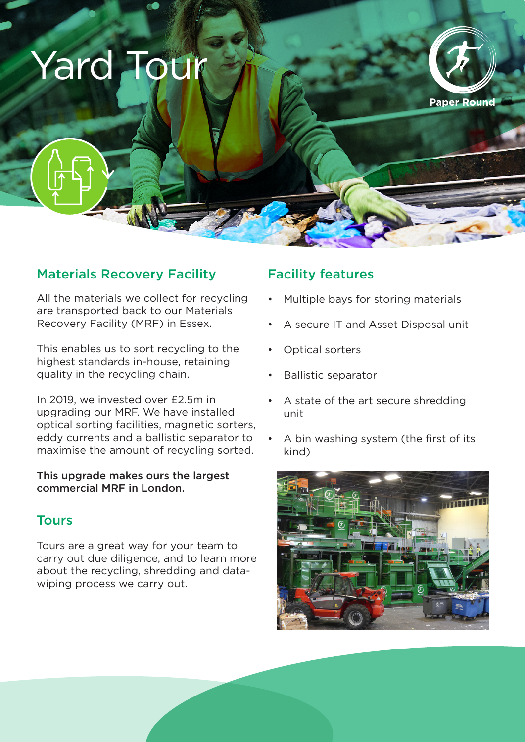# Yard Tour



## Materials Recovery Facility

All the materials we collect for recycling are transported back to our Materials Recovery Facility (MRF) in Essex.

This enables us to sort recycling to the highest standards in-house, retaining quality in the recycling chain.

In 2019, we invested over £2.5m in upgrading our MRF. We have installed optical sorting facilities, magnetic sorters, eddy currents and a ballistic separator to maximise the amount of recycling sorted.

### This upgrade makes ours the largest commercial MRF in London.

### Tours

Tours are a great way for your team to carry out due diligence, and to learn more about the recycling, shredding and datawiping process we carry out.

## Facility features

- Multiple bays for storing materials
- A secure IT and Asset Disposal unit
- Optical sorters
- Ballistic separator
- A state of the art secure shredding unit
- A bin washing system (the first of its kind)